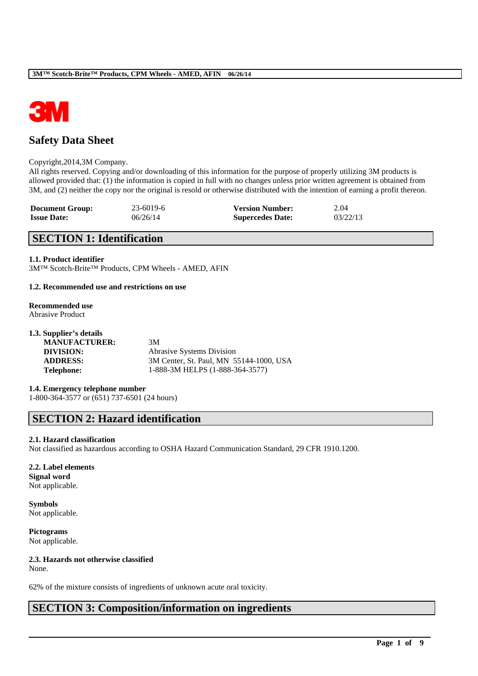

# **Safety Data Sheet**

#### Copyright,2014,3M Company.

All rights reserved. Copying and/or downloading of this information for the purpose of properly utilizing 3M products is allowed provided that: (1) the information is copied in full with no changes unless prior written agreement is obtained from 3M, and (2) neither the copy nor the original is resold or otherwise distributed with the intention of earning a profit thereon.

| <b>Document Group:</b> | 23-6019-6 | <b>Version Number:</b>  | 2.04     |
|------------------------|-----------|-------------------------|----------|
| <b>Issue Date:</b>     | 06/26/14  | <b>Supercedes Date:</b> | 03/22/13 |

# **SECTION 1: Identification**

#### **1.1. Product identifier**

3M™ Scotch-Brite™ Products, CPM Wheels - AMED, AFIN

#### **1.2. Recommended use and restrictions on use**

#### **Recommended use** Abrasive Product

| 1.3. Supplier's details |                                         |
|-------------------------|-----------------------------------------|
| <b>MANUFACTURER:</b>    | 3M                                      |
| DIVISION:               | <b>Abrasive Systems Division</b>        |
| <b>ADDRESS:</b>         | 3M Center, St. Paul, MN 55144-1000, USA |
| <b>Telephone:</b>       | 1-888-3M HELPS (1-888-364-3577)         |
|                         |                                         |

**1.4. Emergency telephone number** 1-800-364-3577 or (651) 737-6501 (24 hours)

# **SECTION 2: Hazard identification**

#### **2.1. Hazard classification**

Not classified as hazardous according to OSHA Hazard Communication Standard, 29 CFR 1910.1200.

\_\_\_\_\_\_\_\_\_\_\_\_\_\_\_\_\_\_\_\_\_\_\_\_\_\_\_\_\_\_\_\_\_\_\_\_\_\_\_\_\_\_\_\_\_\_\_\_\_\_\_\_\_\_\_\_\_\_\_\_\_\_\_\_\_\_\_\_\_\_\_\_\_\_\_\_\_\_\_\_\_\_\_\_\_\_\_\_\_\_

#### **2.2. Label elements**

**Signal word** Not applicable.

**Symbols** Not applicable.

**Pictograms** Not applicable.

## **2.3. Hazards not otherwise classified**

None.

62% of the mixture consists of ingredients of unknown acute oral toxicity.

# **SECTION 3: Composition/information on ingredients**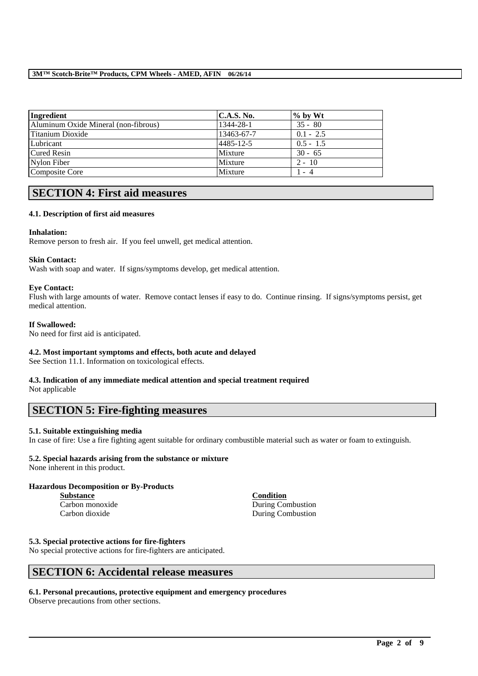| Ingredient                           | <b>C.A.S. No.</b> | $\%$ by Wt  |
|--------------------------------------|-------------------|-------------|
| Aluminum Oxide Mineral (non-fibrous) | 1344-28-1         | $35 - 80$   |
| Titanium Dioxide                     | 13463-67-7        | $0.1 - 2.5$ |
| Lubricant                            | 4485-12-5         | $0.5 - 1.5$ |
| <b>Cured Resin</b>                   | Mixture           | $30 - 65$   |
| Nylon Fiber                          | Mixture           | $2 - 10$    |
| Composite Core                       | Mixture           | 1 - 4       |

# **SECTION 4: First aid measures**

## **4.1. Description of first aid measures**

## **Inhalation:**

Remove person to fresh air. If you feel unwell, get medical attention.

## **Skin Contact:**

Wash with soap and water. If signs/symptoms develop, get medical attention.

## **Eye Contact:**

Flush with large amounts of water. Remove contact lenses if easy to do. Continue rinsing. If signs/symptoms persist, get medical attention.

## **If Swallowed:**

No need for first aid is anticipated.

## **4.2. Most important symptoms and effects, both acute and delayed**

See Section 11.1. Information on toxicological effects.

# **4.3. Indication of any immediate medical attention and special treatment required**

Not applicable

# **SECTION 5: Fire-fighting measures**

## **5.1. Suitable extinguishing media**

In case of fire: Use a fire fighting agent suitable for ordinary combustible material such as water or foam to extinguish.

\_\_\_\_\_\_\_\_\_\_\_\_\_\_\_\_\_\_\_\_\_\_\_\_\_\_\_\_\_\_\_\_\_\_\_\_\_\_\_\_\_\_\_\_\_\_\_\_\_\_\_\_\_\_\_\_\_\_\_\_\_\_\_\_\_\_\_\_\_\_\_\_\_\_\_\_\_\_\_\_\_\_\_\_\_\_\_\_\_\_

## **5.2. Special hazards arising from the substance or mixture**

None inherent in this product.

## **Hazardous Decomposition or By-Products**

**Substance Condition**

Carbon monoxide During Combustion Carbon dioxide During Combustion

## **5.3. Special protective actions for fire-fighters**

No special protective actions for fire-fighters are anticipated.

# **SECTION 6: Accidental release measures**

## **6.1. Personal precautions, protective equipment and emergency procedures**

Observe precautions from other sections.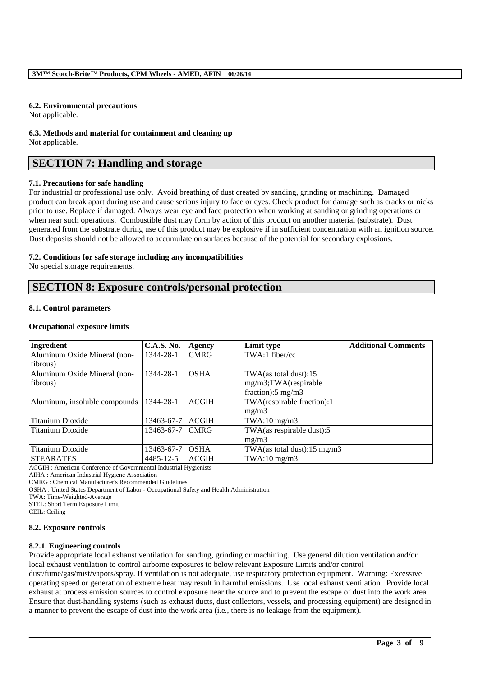#### **6.2. Environmental precautions**

Not applicable.

**6.3. Methods and material for containment and cleaning up** Not applicable.

# **SECTION 7: Handling and storage**

## **7.1. Precautions for safe handling**

For industrial or professional use only. Avoid breathing of dust created by sanding, grinding or machining. Damaged product can break apart during use and cause serious injury to face or eyes. Check product for damage such as cracks or nicks prior to use. Replace if damaged. Always wear eye and face protection when working at sanding or grinding operations or when near such operations. Combustible dust may form by action of this product on another material (substrate). Dust generated from the substrate during use of this product may be explosive if in sufficient concentration with an ignition source. Dust deposits should not be allowed to accumulate on surfaces because of the potential for secondary explosions.

## **7.2. Conditions for safe storage including any incompatibilities**

No special storage requirements.

# **SECTION 8: Exposure controls/personal protection**

#### **8.1. Control parameters**

#### **Occupational exposure limits**

| Ingredient                    | <b>C.A.S. No.</b> | <b>Agency</b> | Limit type                              | <b>Additional Comments</b> |
|-------------------------------|-------------------|---------------|-----------------------------------------|----------------------------|
| Aluminum Oxide Mineral (non-  | 1344-28-1         | <b>CMRG</b>   | TWA:1 fiber/cc                          |                            |
| fibrous)                      |                   |               |                                         |                            |
| Aluminum Oxide Mineral (non-  | 1344-28-1         | <b>OSHA</b>   | $TWA$ (as total dust):15                |                            |
| fibrous)                      |                   |               | mg/m3;TWA(respirable                    |                            |
|                               |                   |               | fraction): $5 \text{ mg/m}$ 3           |                            |
| Aluminum, insoluble compounds | 1344-28-1         | <b>ACGIH</b>  | TWA(respirable fraction):1              |                            |
|                               |                   |               | mg/m3                                   |                            |
| <b>Titanium Dioxide</b>       | 13463-67-7        | <b>ACGIH</b>  | $TWA:10$ mg/m $3$                       |                            |
| Titanium Dioxide              | 13463-67-7        | <b>CMRG</b>   | TWA(as respirable dust):5               |                            |
|                               |                   |               | mg/m3                                   |                            |
| Titanium Dioxide              | 13463-67-7        | <b>OSHA</b>   | TWA(as total dust): $15 \text{ mg/m}$ 3 |                            |
| <b>STEARATES</b>              | 4485-12-5         | <b>ACGIH</b>  | $TWA:10$ mg/m $3$                       |                            |

ACGIH : American Conference of Governmental Industrial Hygienists

AIHA : American Industrial Hygiene Association

CMRG : Chemical Manufacturer's Recommended Guidelines

OSHA : United States Department of Labor - Occupational Safety and Health Administration

TWA: Time-Weighted-Average

STEL: Short Term Exposure Limit

CEIL: Ceiling

#### **8.2. Exposure controls**

#### **8.2.1. Engineering controls**

Provide appropriate local exhaust ventilation for sanding, grinding or machining. Use general dilution ventilation and/or local exhaust ventilation to control airborne exposures to below relevant Exposure Limits and/or control

dust/fume/gas/mist/vapors/spray. If ventilation is not adequate, use respiratory protection equipment. Warning: Excessive operating speed or generation of extreme heat may result in harmful emissions. Use local exhaust ventilation. Provide local exhaust at process emission sources to control exposure near the source and to prevent the escape of dust into the work area. Ensure that dust-handling systems (such as exhaust ducts, dust collectors, vessels, and processing equipment) are designed in a manner to prevent the escape of dust into the work area (i.e., there is no leakage from the equipment).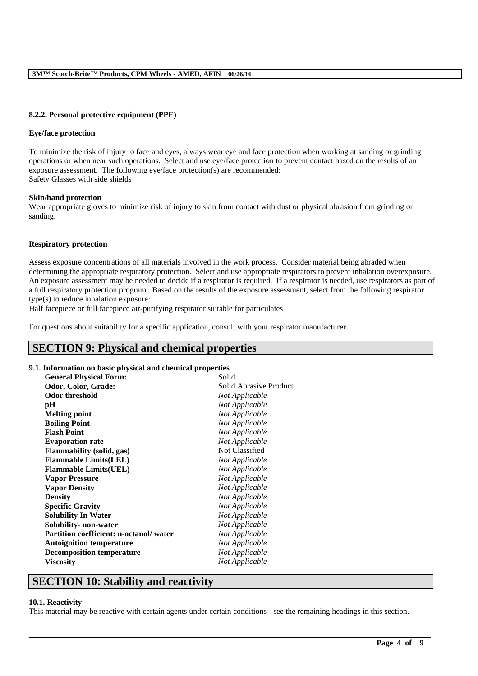#### **8.2.2. Personal protective equipment (PPE)**

#### **Eye/face protection**

To minimize the risk of injury to face and eyes, always wear eye and face protection when working at sanding or grinding operations or when near such operations. Select and use eye/face protection to prevent contact based on the results of an exposure assessment. The following eye/face protection(s) are recommended: Safety Glasses with side shields

#### **Skin/hand protection**

Wear appropriate gloves to minimize risk of injury to skin from contact with dust or physical abrasion from grinding or sanding.

#### **Respiratory protection**

Assess exposure concentrations of all materials involved in the work process. Consider material being abraded when determining the appropriate respiratory protection. Select and use appropriate respirators to prevent inhalation overexposure. An exposure assessment may be needed to decide if a respirator is required. If a respirator is needed, use respirators as part of a full respiratory protection program. Based on the results of the exposure assessment, select from the following respirator type(s) to reduce inhalation exposure:

Half facepiece or full facepiece air-purifying respirator suitable for particulates

For questions about suitability for a specific application, consult with your respirator manufacturer.

# **SECTION 9: Physical and chemical properties**

#### **9.1. Information on basic physical and chemical properties**

| <b>General Physical Form:</b>          | Solid                  |
|----------------------------------------|------------------------|
| Odor, Color, Grade:                    | Solid Abrasive Product |
| <b>Odor threshold</b>                  | Not Applicable         |
| pH                                     | Not Applicable         |
| <b>Melting point</b>                   | Not Applicable         |
| <b>Boiling Point</b>                   | Not Applicable         |
| <b>Flash Point</b>                     | Not Applicable         |
| <b>Evaporation rate</b>                | Not Applicable         |
| <b>Flammability (solid, gas)</b>       | Not Classified         |
| <b>Flammable Limits(LEL)</b>           | Not Applicable         |
| <b>Flammable Limits(UEL)</b>           | Not Applicable         |
| <b>Vapor Pressure</b>                  | Not Applicable         |
| <b>Vapor Density</b>                   | Not Applicable         |
| <b>Density</b>                         | Not Applicable         |
| <b>Specific Gravity</b>                | Not Applicable         |
| <b>Solubility In Water</b>             | Not Applicable         |
| Solubility- non-water                  | Not Applicable         |
| Partition coefficient: n-octanol/water | Not Applicable         |
| <b>Autoignition temperature</b>        | Not Applicable         |
| <b>Decomposition temperature</b>       | Not Applicable         |
| <b>Viscosity</b>                       | Not Applicable         |
|                                        |                        |

## **SECTION 10: Stability and reactivity**

#### **10.1. Reactivity**

This material may be reactive with certain agents under certain conditions - see the remaining headings in this section.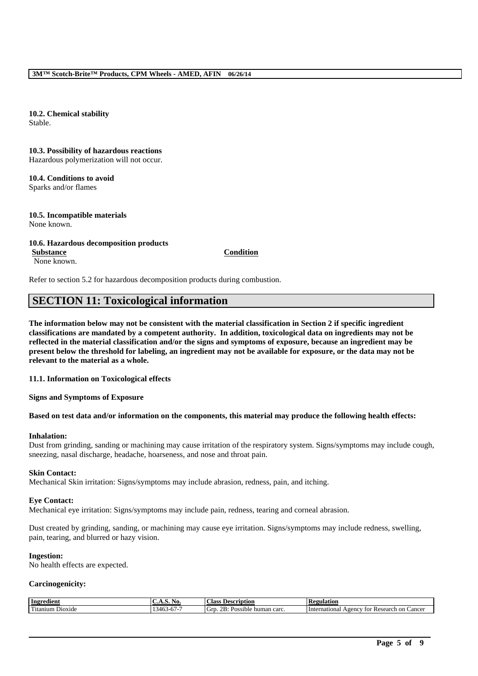**10.2. Chemical stability** Stable.

**10.3. Possibility of hazardous reactions** Hazardous polymerization will not occur.

**10.4. Conditions to avoid** Sparks and/or flames

**10.5. Incompatible materials** None known.

**10.6. Hazardous decomposition products Substance Condition**

None known.

Refer to section 5.2 for hazardous decomposition products during combustion.

# **SECTION 11: Toxicological information**

**The information below may not be consistent with the material classification in Section 2 if specific ingredient classifications are mandated by a competent authority. In addition, toxicological data on ingredients may not be reflected in the material classification and/or the signs and symptoms of exposure, because an ingredient may be present below the threshold for labeling, an ingredient may not be available for exposure, or the data may not be relevant to the material as a whole.**

**11.1. Information on Toxicological effects**

**Signs and Symptoms of Exposure**

## **Based on test data and/or information on the components, this material may produce the following health effects:**

## **Inhalation:**

Dust from grinding, sanding or machining may cause irritation of the respiratory system. Signs/symptoms may include cough, sneezing, nasal discharge, headache, hoarseness, and nose and throat pain.

## **Skin Contact:**

Mechanical Skin irritation: Signs/symptoms may include abrasion, redness, pain, and itching.

## **Eye Contact:**

Mechanical eye irritation: Signs/symptoms may include pain, redness, tearing and corneal abrasion.

Dust created by grinding, sanding, or machining may cause eye irritation. Signs/symptoms may include redness, swelling, pain, tearing, and blurred or hazy vision.

## **Ingestion:**

No health effects are expected.

## **Carcinogenicity:**

| l mar<br>$\overline{1}$<br>7R.<br>Dioxide<br>√ت<br>carc<br>human<br>sible<br>l itanıum<br>Poss<br>./IF<br>.<br>᠇୰<br>$\mathbf{v}$ | International<br><sub>on</sub><br>vgency<br>Cancer<br>Research<br>TOT |
|-----------------------------------------------------------------------------------------------------------------------------------|-----------------------------------------------------------------------|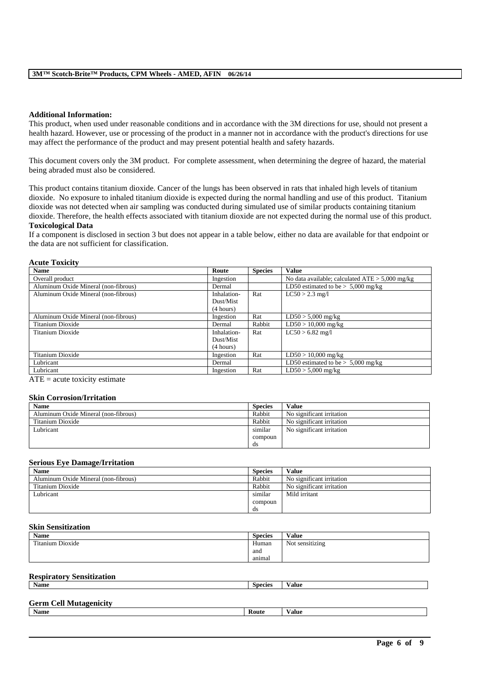#### **Additional Information:**

This product, when used under reasonable conditions and in accordance with the 3M directions for use, should not present a health hazard. However, use or processing of the product in a manner not in accordance with the product's directions for use may affect the performance of the product and may present potential health and safety hazards.

This document covers only the 3M product. For complete assessment, when determining the degree of hazard, the material being abraded must also be considered.

This product contains titanium dioxide. Cancer of the lungs has been observed in rats that inhaled high levels of titanium dioxide. No exposure to inhaled titanium dioxide is expected during the normal handling and use of this product. Titanium dioxide was not detected when air sampling was conducted during simulated use of similar products containing titanium dioxide. Therefore, the health effects associated with titanium dioxide are not expected during the normal use of this product. **Toxicological Data**

If a component is disclosed in section 3 but does not appear in a table below, either no data are available for that endpoint or the data are not sufficient for classification.

#### **Acute Toxicity**

| <b>Name</b>                          | Route       | <b>Species</b> | <b>Value</b>                                      |
|--------------------------------------|-------------|----------------|---------------------------------------------------|
| Overall product                      | Ingestion   |                | No data available; calculated $ATE > 5,000$ mg/kg |
| Aluminum Oxide Mineral (non-fibrous) | Dermal      |                | LD50 estimated to be $> 5,000$ mg/kg              |
| Aluminum Oxide Mineral (non-fibrous) | Inhalation- | Rat            | $LC50 > 2.3$ mg/l                                 |
|                                      | Dust/Mist   |                |                                                   |
|                                      | (4 hours)   |                |                                                   |
| Aluminum Oxide Mineral (non-fibrous) | Ingestion   | Rat            | $LD50 > 5,000$ mg/kg                              |
| Titanium Dioxide                     | Dermal      | Rabbit         | $LD50 > 10,000$ mg/kg                             |
| Titanium Dioxide                     | Inhalation- | Rat            | $LC50 > 6.82$ mg/l                                |
|                                      | Dust/Mist   |                |                                                   |
|                                      | (4 hours)   |                |                                                   |
| Titanium Dioxide                     | Ingestion   | Rat            | $LD50 > 10,000$ mg/kg                             |
| Lubricant                            | Dermal      |                | LD50 estimated to be $> 5,000$ mg/kg              |
| Lubricant                            | Ingestion   | Rat            | $LD50 > 5,000$ mg/kg                              |

 $ATE = acute$  toxicity estimate

#### **Skin Corrosion/Irritation**

| <b>Name</b>                          | <b>Species</b> | Value                     |
|--------------------------------------|----------------|---------------------------|
| Aluminum Oxide Mineral (non-fibrous) | Rabbit         | No significant irritation |
| Titanium Dioxide                     | Rabbit         | No significant irritation |
| Lubricant                            | similar        | No significant irritation |
|                                      | compoun        |                           |
|                                      | ds             |                           |

#### **Serious Eye Damage/Irritation**

| <b>Name</b>                          | <b>Species</b> | Value                     |
|--------------------------------------|----------------|---------------------------|
| Aluminum Oxide Mineral (non-fibrous) | Rabbit         | No significant irritation |
| Titanium Dioxide                     | Rabbit         | No significant irritation |
| Lubricant                            | similar        | Mild irritant             |
|                                      | compoun        |                           |
|                                      | ds             |                           |

## **Skin Sensitization**

| <b>Name</b>      | <b>Species</b> | Value           |
|------------------|----------------|-----------------|
| Titanium Dioxide | Human          | Not sensitizing |
|                  | and            |                 |
|                  | animal         |                 |
|                  |                |                 |

#### **Respiratory Sensitization**

| <b>Name</b> | Species | ⁄ alue |
|-------------|---------|--------|
|             |         |        |

## **Germ Cell Mutagenicity**

| Name | Route | $\mathbf{v}$<br>√alue |
|------|-------|-----------------------|
|      |       |                       |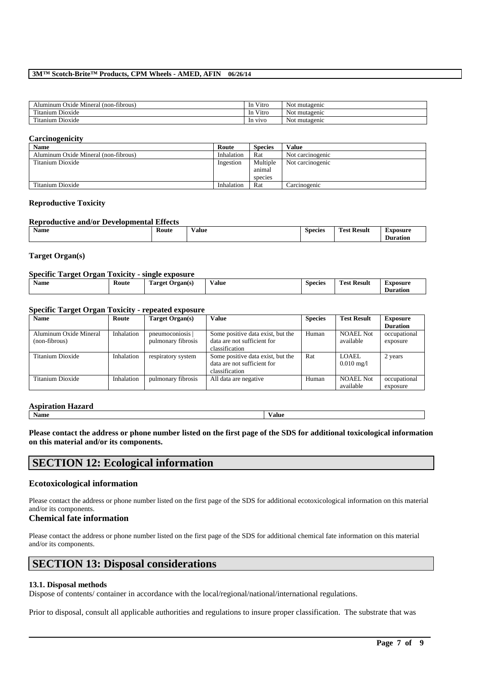| (non-fibrous)<br>Alumınum<br>Oxide<br>Mineral | $-1$<br>V1tro<br>1n                        | mutagenic<br>Not        |
|-----------------------------------------------|--------------------------------------------|-------------------------|
| $\sim$<br>$\sim$<br>Dioxide<br>`itanıum       | $-1$<br>V1tro<br>1n                        | . .<br>mutagenic<br>Not |
| $\sim$<br>Dioxide<br>itanium                  | V <sub>1</sub> V <sub>O</sub><br><b>In</b> | mutagenic<br>Not        |

#### **Carcinogenicity**

| $\overline{\phantom{a}}$             |            |                |                  |
|--------------------------------------|------------|----------------|------------------|
| <b>Name</b>                          | Route      | <b>Species</b> | Value            |
| Aluminum Oxide Mineral (non-fibrous) | Inhalation | Rat            | Not carcinogenic |
| Titanium Dioxide                     | Ingestion  | Multiple       | Not carcinogenic |
|                                      |            | animal         |                  |
|                                      |            | species        |                  |
| Titanium Dioxide                     | Inhalation | Rat            | Carcinogenic     |

#### **Reproductive Toxicity**

## **Reproductive and/or Developmental Effects**

| <b>Name</b> | -<br>Koute<br>. | Value | <b>Species</b><br>. | <b>CONTRACT</b><br>`oet<br><b>Result</b> | XDOSU.<br>$\sim$ $\sim$<br>auor |
|-------------|-----------------|-------|---------------------|------------------------------------------|---------------------------------|
|             |                 |       |                     |                                          |                                 |

#### **Target Organ(s)**

#### **Specific Target Organ Toxicity - single exposure**

| <b>Name</b> | Route | <b>CONTRACT</b><br>rarget '<br>Organ(s) | <b>Value</b> | <b>Species</b> | --<br>$\sqrt{2}$<br>Test Result | Exposure |
|-------------|-------|-----------------------------------------|--------------|----------------|---------------------------------|----------|
|             |       |                                         |              |                |                                 | Duration |

## **Specific Target Organ Toxicity - repeated exposure**

| <b>Name</b>            | Route      | Target Organ(s)    | Value                             | <b>Species</b> | <b>Test Result</b>   | <b>Exposure</b> |
|------------------------|------------|--------------------|-----------------------------------|----------------|----------------------|-----------------|
|                        |            |                    |                                   |                |                      | <b>Duration</b> |
| Aluminum Oxide Mineral | Inhalation | pneumoconiosis     | Some positive data exist, but the | Human          | <b>NOAEL Not</b>     | occupational    |
| (non-fibrous)          |            | pulmonary fibrosis | data are not sufficient for       |                | available            | exposure        |
|                        |            |                    | classification                    |                |                      |                 |
| Titanium Dioxide       | Inhalation | respiratory system | Some positive data exist, but the | Rat            | LOAEL.               | 2 years         |
|                        |            |                    | data are not sufficient for       |                | $0.010 \text{ mg}/1$ |                 |
|                        |            |                    | classification                    |                |                      |                 |
| Titanium Dioxide       | Inhalation | pulmonary fibrosis | All data are negative             | Human          | NOAEL Not            | occupational    |
|                        |            |                    |                                   |                | available            | exposure        |

#### **Aspiration Hazard**

**Name Value**

**Please contact the address or phone number listed on the first page of the SDS for additional toxicological information on this material and/or its components.**

## **SECTION 12: Ecological information**

#### **Ecotoxicological information**

Please contact the address or phone number listed on the first page of the SDS for additional ecotoxicological information on this material and/or its components.

#### **Chemical fate information**

Please contact the address or phone number listed on the first page of the SDS for additional chemical fate information on this material and/or its components.

## **SECTION 13: Disposal considerations**

## **13.1. Disposal methods**

Dispose of contents/ container in accordance with the local/regional/national/international regulations.

Prior to disposal, consult all applicable authorities and regulations to insure proper classification. The substrate that was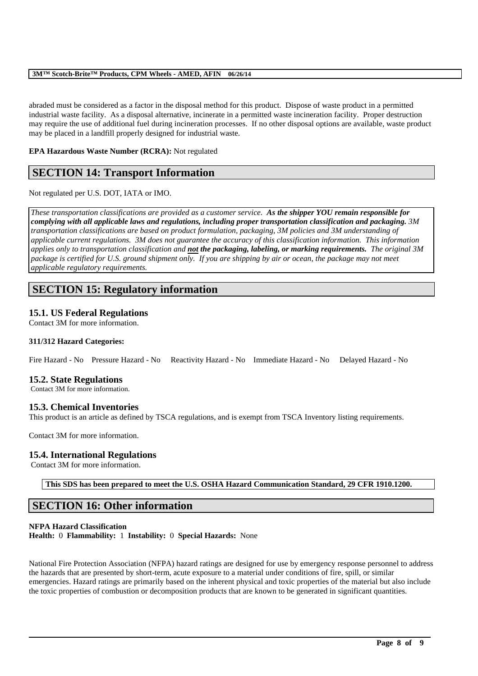abraded must be considered as a factor in the disposal method for this product. Dispose of waste product in a permitted industrial waste facility. As a disposal alternative, incinerate in a permitted waste incineration facility. Proper destruction may require the use of additional fuel during incineration processes. If no other disposal options are available, waste product may be placed in a landfill properly designed for industrial waste.

## **EPA Hazardous Waste Number (RCRA):** Not regulated

# **SECTION 14: Transport Information**

Not regulated per U.S. DOT, IATA or IMO.

*These transportation classifications are provided as a customer service. As the shipper YOU remain responsible for complying with all applicable laws and regulations, including proper transportation classification and packaging. 3M transportation classifications are based on product formulation, packaging, 3M policies and 3M understanding of applicable current regulations. 3M does not guarantee the accuracy of this classification information. This information applies only to transportation classification and not the packaging, labeling, or marking requirements. The original 3M package is certified for U.S. ground shipment only. If you are shipping by air or ocean, the package may not meet applicable regulatory requirements.* 

# **SECTION 15: Regulatory information**

## **15.1. US Federal Regulations**

Contact 3M for more information.

## **311/312 Hazard Categories:**

Fire Hazard - No Pressure Hazard - No Reactivity Hazard - No Immediate Hazard - No Delayed Hazard - No

## **15.2. State Regulations**

Contact 3M for more information.

## **15.3. Chemical Inventories**

This product is an article as defined by TSCA regulations, and is exempt from TSCA Inventory listing requirements.

Contact 3M for more information.

## **15.4. International Regulations**

Contact 3M for more information.

**This SDS has been prepared to meet the U.S. OSHA Hazard Communication Standard, 29 CFR 1910.1200.**

# **SECTION 16: Other information**

## **NFPA Hazard Classification**

**Health:** 0 **Flammability:** 1 **Instability:** 0 **Special Hazards:** None

National Fire Protection Association (NFPA) hazard ratings are designed for use by emergency response personnel to address the hazards that are presented by short-term, acute exposure to a material under conditions of fire, spill, or similar emergencies. Hazard ratings are primarily based on the inherent physical and toxic properties of the material but also include the toxic properties of combustion or decomposition products that are known to be generated in significant quantities.